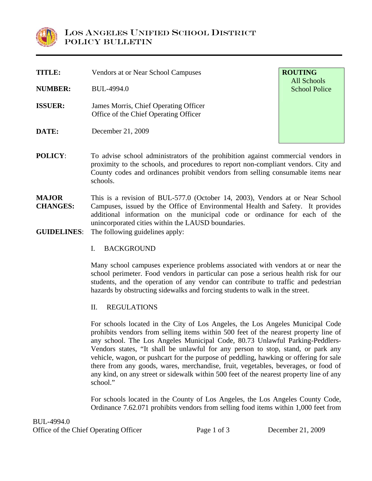

| <b>TITLE:</b>  | Vendors at or Near School Campuses                                             | <b>ROUTING</b><br>All Schools |
|----------------|--------------------------------------------------------------------------------|-------------------------------|
| <b>NUMBER:</b> | BUL-4994.0                                                                     | <b>School Police</b>          |
| <b>ISSUER:</b> | James Morris, Chief Operating Officer<br>Office of the Chief Operating Officer |                               |
| DATE:          | December 21, 2009                                                              |                               |

**POLICY:** To advise school administrators of the prohibition against commercial vendors in proximity to the schools, and procedures to report non-compliant vendors. City and County codes and ordinances prohibit vendors from selling consumable items near schools.

**MAJOR CHANGES:**  This is a revision of BUL-577.0 (October 14, 2003), Vendors at or Near School Campuses, issued by the Office of Environmental Health and Safety. It provides additional information on the municipal code or ordinance for each of the unincorporated cities within the LAUSD boundaries.

**GUIDELINES**: The following guidelines apply:

I. BACKGROUND

Many school campuses experience problems associated with vendors at or near the school perimeter. Food vendors in particular can pose a serious health risk for our students, and the operation of any vendor can contribute to traffic and pedestrian hazards by obstructing sidewalks and forcing students to walk in the street.

II. REGULATIONS

For schools located in the City of Los Angeles, the Los Angeles Municipal Code prohibits vendors from selling items within 500 feet of the nearest property line of any school. The Los Angeles Municipal Code, 80.73 Unlawful Parking-Peddlers-Vendors states, "It shall be unlawful for any person to stop, stand, or park any vehicle, wagon, or pushcart for the purpose of peddling, hawking or offering for sale there from any goods, wares, merchandise, fruit, vegetables, beverages, or food of any kind, on any street or sidewalk within 500 feet of the nearest property line of any school."

For schools located in the County of Los Angeles, the Los Angeles County Code, Ordinance 7.62.071 prohibits vendors from selling food items within 1,000 feet from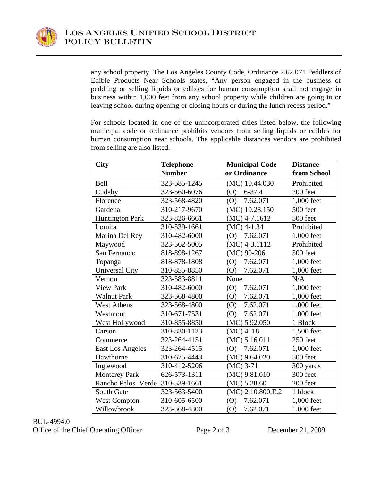

any school property. The Los Angeles County Code, Ordinance 7.62.071 Peddlers of Edible Products Near Schools states, "Any person engaged in the business of peddling or selling liquids or edibles for human consumption shall not engage in business within 1,000 feet from any school property while children are going to or leaving school during opening or closing hours or during the lunch recess period."

For schools located in one of the unincorporated cities listed below, the following municipal code or ordinance prohibits vendors from selling liquids or edibles for human consumption near schools. The applicable distances vendors are prohibited from selling are also listed.

| <b>City</b>                     | <b>Telephone</b> | <b>Municipal Code</b> | <b>Distance</b> |
|---------------------------------|------------------|-----------------------|-----------------|
|                                 | <b>Number</b>    | or Ordinance          | from School     |
| Bell                            | 323-585-1245     | (MC) 10.44.030        | Prohibited      |
| Cudahy                          | 323-560-6076     | $6 - 37.4$<br>(O)     | 200 feet        |
| Florence                        | 323-568-4820     | 7.62.071<br>(O)       | 1,000 feet      |
| Gardena                         | 310-217-9670     | (MC) 10.28.150        | 500 feet        |
| <b>Huntington Park</b>          | 323-826-6661     | $(MC)$ 4-7.1612       | 500 feet        |
| Lomita                          | 310-539-1661     | $(MC)$ 4-1.34         | Prohibited      |
| Marina Del Rey                  | 310-482-6000     | 7.62.071<br>(0)       | 1,000 feet      |
| Maywood                         | 323-562-5005     | $(MC)$ 4-3.1112       | Prohibited      |
| San Fernando                    | 818-898-1267     | $(MC)$ 90-206         | 500 feet        |
| Topanga                         | 818-878-1808     | 7.62.071<br>(O)       | 1,000 feet      |
| <b>Universal City</b>           | 310-855-8850     | 7.62.071<br>(O)       | 1,000 feet      |
| Vernon                          | 323-583-8811     | None                  | N/A             |
| <b>View Park</b>                | 310-482-6000     | 7.62.071<br>(0)       | 1,000 feet      |
| <b>Walnut Park</b>              | 323-568-4800     | 7.62.071<br>(0)       | 1,000 feet      |
| <b>West Athens</b>              | 323-568-4800     | 7.62.071<br>(0)       | 1,000 feet      |
| Westmont                        | 310-671-7531     | 7.62.071<br>(0)       | 1,000 feet      |
| West Hollywood                  | 310-855-8850     | (MC) 5.92.050         | 1 Block         |
| Carson                          | 310-830-1123     | $(MC)$ 4118           | 1,500 feet      |
| Commerce                        | 323-264-4151     | (MC) 5.16.011         | 250 feet        |
| East Los Angeles                | 323-264-4515     | 7.62.071<br>(O)       | 1,000 feet      |
| Hawthorne                       | 310-675-4443     | $(MC)$ 9.64.020       | 500 feet        |
| Inglewood                       | 310-412-5206     | $(MC)$ 3-71           | 300 yards       |
| <b>Monterey Park</b>            | 626-573-1311     | $(MC)$ 9.81.010       | 300 feet        |
| Rancho Palos Verde 310-539-1661 |                  | (MC) 5.28.60          | 200 feet        |
| South Gate                      | 323-563-5400     | (MC) 2.10.800.E.2     | 1 block         |
| <b>West Compton</b>             | 310-605-6500     | 7.62.071<br>(O)       | 1,000 feet      |
| Willowbrook                     | 323-568-4800     | 7.62.071<br>(O)       | 1,000 feet      |